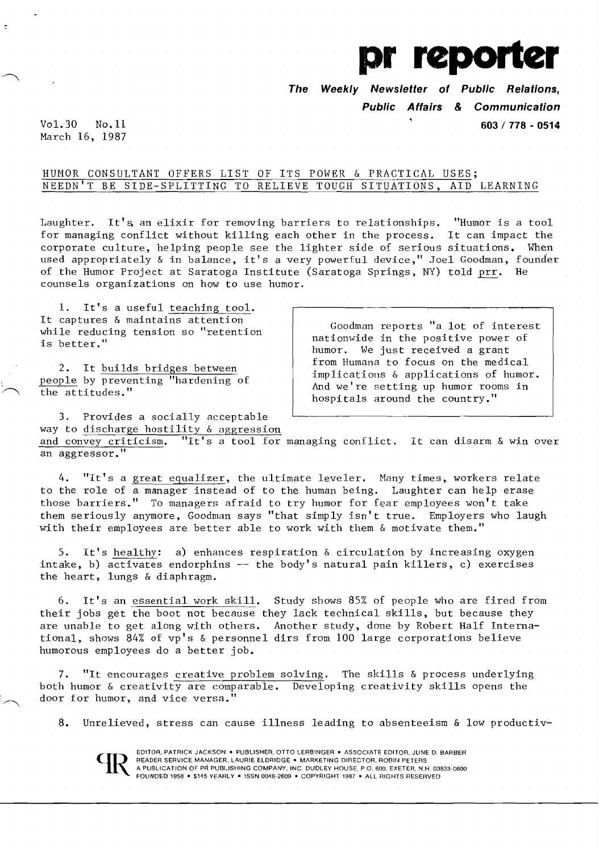

**The Weekly Newsletter of Public Relations,** 

**Public Affairs & Communication** 

Vol. 30 No. 11 **603 I 778 - 0514**  March 16, 1987

# HUMOR CONSULTANT OFFERS LIST OF ITS POWER & PRACTICAL USES; NEEDN'T BE SIDE-SPLITTING TO RELIEVE TOUGH SITUATIONS, AID LEARNING

Laughter. It's an elixir for removing barriers to relationships. "Humor is a tool for managing conflict without killing each other in the process. It can impact the corporate culture, helping people see the lighter side of serious situations. When used appropriately & in balance, it's a very powerful device," Joel Goodman, founder of the Humor Project at Saratoga Institute (Saratoga Springs, NY) told prr. He counsels organizations on how to use humor.

1. It's a useful teaching tool. It captures & maintains attention<br>while reducing tension so "retention

It captures  $\alpha$  maintains attention  $\begin{array}{c|c} \text{vi} \text{is} & \text{v} \text{is} \text{is} \\ \text{v} \text{is} & \text{better."} \end{array}$  attionwide in the positive power of humor. We just received a grant 2. It builds bridges between from Humana to focus on the medical implications & applications of humor.<br>
people by preventing "hardening of And we're setting up humor rooms in hospitals around the country."

3. Provides a socially acceptable way to discharge hostility  $&$  aggression and convey criticism. "It's a tool for managing conflict. It can disarm & win over an aggressor."

4. "It's a great equalizer, the ultimate leveler. Many times, workers relate to the role of a manager instead of to the human being. Laughter can help erase those barriers." To managers afraid to try humor for fear employees won't take them seriously anymore, Goodman says "that simply isn't true. Employers who laugh with their employees are better able to work with them & motivate them."

5. It's healthy: a) enhances respiration & circulation by increasing oxygen intake, b) activates endorphins  $-$  the body's natural pain killers, c) exercises the heart, lungs & diaphragm.

6. It's an essential work skill. Study shows 85% of people who are fired from their jobs get the boot not because they lack technical skills, but because they are unable to get along with others. Another study, done by Robert Half International, shows 84% of vp's & personnel dirs from 100 large corporations believe humorous employees do a better job.

7. "It encourages creative problem solving. The skills & process underlying both humor & creativity are comparable. Developing creativity skills opens the door for humor, and vice versa."

8. Unrelieved, stress can cause illness leading to absenteeism & low productiv-



EDITOR, PATRICK JACKSON . PUBLISHER, OTTO LERBINGER . ASSOCIATE EDITOR, JUNE D. BARBER READER SERVICE MANAGER. LAURIE ELDRIDGE . MARKETING DIRECTOR, ROBIN PETERS A PUBLICATION OF PR PUBUSHING COMPANY. INC. DUDLEY HOUSE. P O. 600. EXETER. N.H. 03833-0600 FOUNDED 1958 • \$145 YEARLY • ISSN 0048-2609 • COPYRIGHT 1987 • ALL RIGHTS RESERVED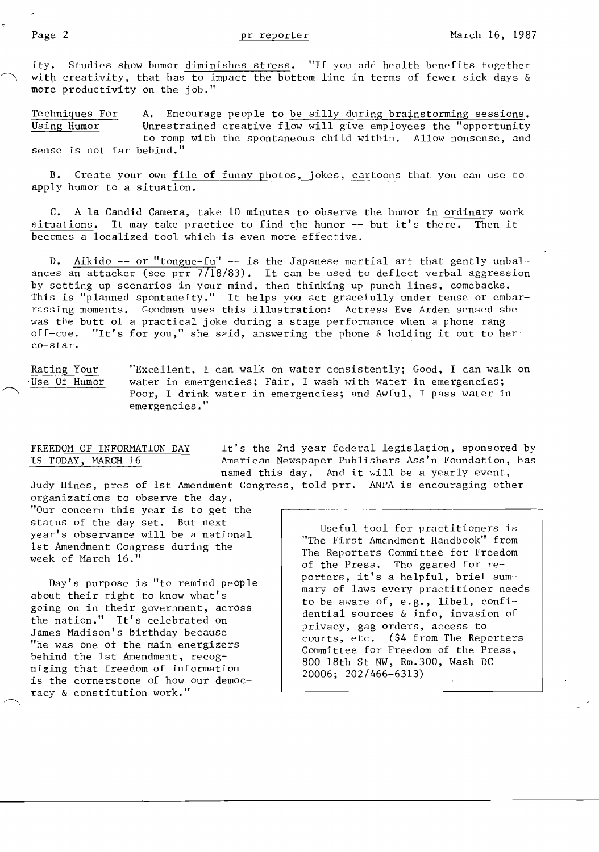ity. Studies show humor diminishes stress. "If you add health benefits together with creativity, that has to impact the bottom line in terms of fewer sick days  $\&$ more productivity on the job."

Techniques For A. Encourage people to be silly during brajnstorming sessions. Using Humor Unrestrained creative flow will give employees the "opportunity to romp with the spontaneous child within. Allow nonsense, and sense is not far behind."

B. Create your own file of funny photos, jokes, cartoons that you can use to apply humor to a situation. Ī

C. A 1a Candid Camera, take 10 minutes to observe the humor in ordinary work situations. It may take practice to find the humor -- but it's there. Then it  $\ddot{ }$ becomes a localized tool which is even more effective.

D. Aikido **--** or "tongue-fu" -- is the Japanese martial art that gently unbalances an attacker (see prr 7/18/83). It can be used to deflect verbal aggression by setting up scenarios in your mind, then thinking up punch lines, comebacks. This is "planned spontaneity." It helps you act gracefully under tense or embarrassing moments. Goodman uses this illustration: Actress Eve Arden sensed she was the butt of a practical joke during a stage performance when a phone rang off-cue. "It's for you," she said, answering the phone  $\&$  holding it out to he "It's for you," she said, answering the phone & holding it out to her co-star.

Rating Your **"Excellent, I can walk on water consistently; Good, I can walk on** Use Of Humor water in emergencies; Fair, I wash with water in emergencies; Poor, I drink water in emergencies; and Awful, I pass water in emergencies."

FREEDOM OF INFORMATION DAY It's the 2nd year federal legislation, sponsored by<br>IS TODAY, MARCH 16 American Newspaper Publishers Ass'n Foundation, has American Newspaper Publishers Ass'n Foundation, has named this day. And it will be a yearly event, Judy Hines, pres of 1st Amendment Congress, told prr. ANPA is encouraging other

organizations to observe the day. "Our concern this year is to get the status of the day set. But next<br>
year's observance will be a national<br>
1st Amendment Congress during the<br>
week of March 16."<br>
Week of March 16."<br>
The Reporters Committee for Freedom<br>
of the Press. Tho geared for re-

about their right to know what's<br>
going on in their government, across<br>
the nation." It's celebrated on<br>
James Madison's birthday because<br>
"he was one of the main energizers<br>
behind the 1st Amendment, recog-<br>
nizing that f is the cornerstone of how our democ-<br>racy & constitution work."

porters, it's a helpful, brief sum-<br>about their right to know what's<br>interestigate to know what's<br>to be aware of, e.g., libel, confi-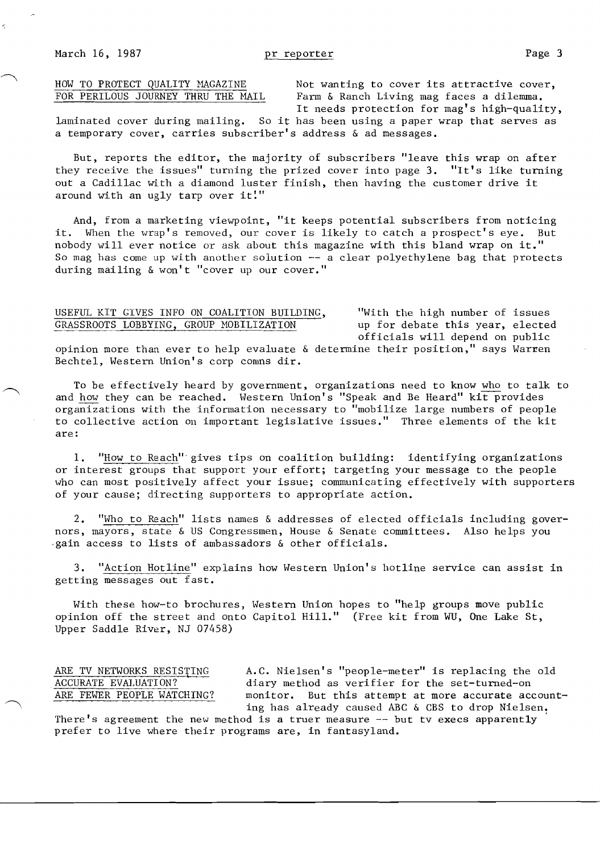HOW TO PROTECT QUALITY MAGAZINE Not wanting to cover its attractive cover,<br>FOR PERILOUS JOURNEY THRU THE MAIL Farm & Ranch Living mag faces a dilemma. Farm & Ranch Living mag faces a dilemma. It needs protection for mag's high-quality,

laminated cover during mailing. So it has been using a paper wrap that serves as a temporary cover, carries subscriber's address & ad messages.

But, reports the editor, the majority of subscribers "leave this wrap on after they receive the issues" turning the prized cover into page **3.** "It's like turning out a Cadillac with a diamond luster finish, then having the customer drive it Ĩ around with an ugly tarp over it."

And, from a marketing viewpoint, "it keeps potential subscribers from noticing it. When the wrap's removed, our cover is likely to catch a prospect's eye. But nobody will ever notice or ask about this magazine with this bland wrap on it." Ï So mag has come up with another solution  $-$  a clear polyethylene bag that protects during mailing & won't "cover up our cover."

## USEFUL KIT GIVES INFO ON COALITION BUILDING, "With the high number of issues GRASSROOTS LOBBYING, GROUP MOBILIZATION

officials will depend on public opinion more than ever to help evaluate & determine their position," says Warren

Bechtel, Western Union's corp comns dir.

To be effectively heard by government, organizations need to know who to talk to and how they can be reached. Western Union's "Speak and Be Heard" kit provides organizations with the information necessary to "mobilize large numbers of people to collective action On important legislative issues." Three elements of the kit are:

**1.** "How to Reach'" gives tips on coalition building: identifying organizations or interest groups that support your effort; targeting your message to the people who can most positively affect your issue; communicating effectively with supporters of your cause; directing supporters to appropriate action.

2. "Who to Reach" lists names & addresses of elected officials including governors, mayors, state & US Congressmen, House & Senate committees. Also helps you .gain access to lists of ambassadors & other officials.

3. "Action Hotline" explains how Western Union's hotline service can assist in getting messages out fast.

With these how-to brochures, Western Union hopes to "help groups move public opinion off the street and onto Capitol Hill." (Free kit from WU, One Lake St, Upper Saddle River, NJ 07458)

ARE TV NETWORKS RESISTING A.C. Nielsen's "people-meter" is replacing the old ACCURATE EVALUATION? ACCURATE EVALUATION? diary method as verifier for the set-turned-on<br>ARE FEWER PEOPLE WATCHING? monitor. But this attempt at more accurate ace monitor. But this attempt at more accurate accounting has already caused ABC & CBS to drop Nielsen.

There's agreement the new method is a truer measure  $-$  but tv execs apparently prefer to live where their programs are, in fantasyland.